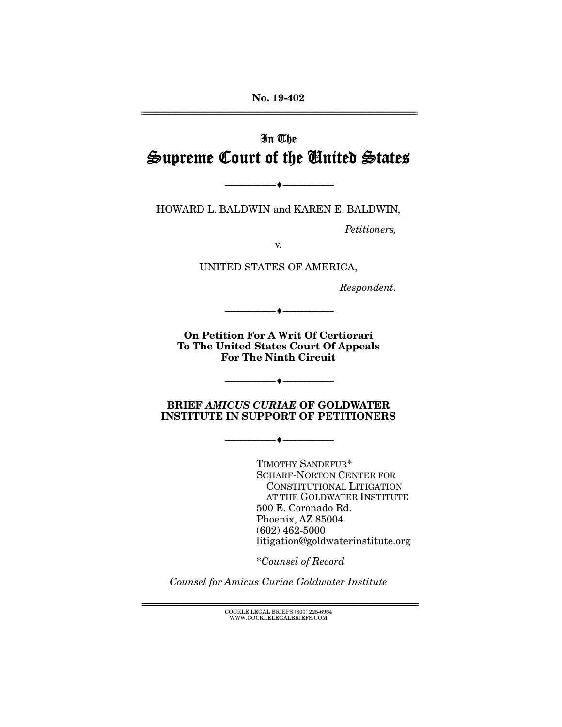No. 19-402 ================================================================================================================

# In The Supreme Court of the United States

HOWARD L. BALDWIN and KAREN E. BALDWIN,

--------------------------------- ---------------------------------

*Petitioners,* 

v.

UNITED STATES OF AMERICA,

*Respondent.* 

On Petition For A Writ Of Certiorari To The United States Court Of Appeals For The Ninth Circuit

 $\longrightarrow \longrightarrow$ 

--------------------------------- ---------------------------------

BRIEF *AMICUS CURIAE* OF GOLDWATER INSTITUTE IN SUPPORT OF PETITIONERS

--------------------------------- ---------------------------------

TIMOTHY SANDEFUR\* SCHARF-NORTON CENTER FOR CONSTITUTIONAL LITIGATION AT THE GOLDWATER INSTITUTE 500 E. Coronado Rd. Phoenix, AZ 85004 (602) 462-5000 litigation@goldwaterinstitute.org

\**Counsel of Record*

*Counsel for Amicus Curiae Goldwater Institute* 

 ${ \rm COCKLE}$  LEGAL BRIEFS (800) 225-6964 WWW.COCKLELEGALBRIEFS.COM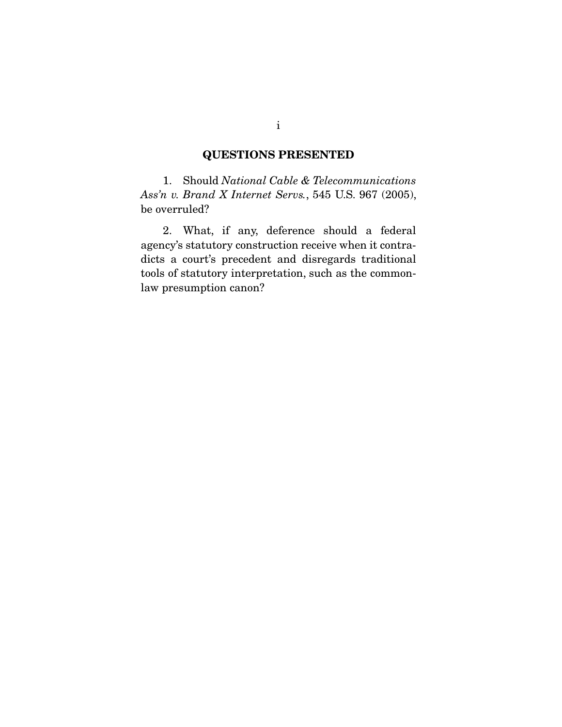### QUESTIONS PRESENTED

 1. Should *National Cable & Telecommunications Ass'n v. Brand X Internet Servs.*, 545 U.S. 967 (2005), be overruled?

 2. What, if any, deference should a federal agency's statutory construction receive when it contradicts a court's precedent and disregards traditional tools of statutory interpretation, such as the commonlaw presumption canon?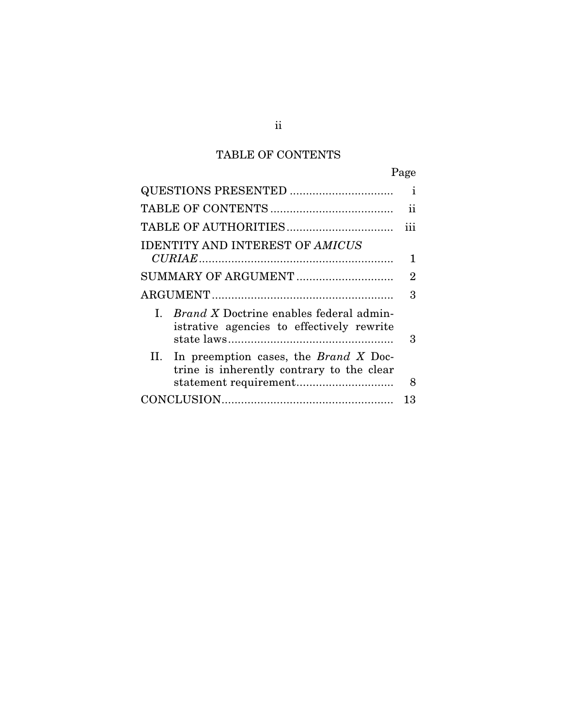## TABLE OF CONTENTS

|                                                                                                | Page |
|------------------------------------------------------------------------------------------------|------|
|                                                                                                | i    |
|                                                                                                | ii   |
|                                                                                                | iii  |
| <b>IDENTITY AND INTEREST OF AMICUS</b>                                                         |      |
|                                                                                                | 1    |
| SUMMARY OF ARGUMENT                                                                            | 2    |
|                                                                                                | 3    |
| I. <i>Brand X</i> Doctrine enables federal admin-<br>istrative agencies to effectively rewrite | З    |
| II. In preemption cases, the <i>Brand X</i> Doc-<br>trine is inherently contrary to the clear  |      |
|                                                                                                | 8    |
|                                                                                                | 13   |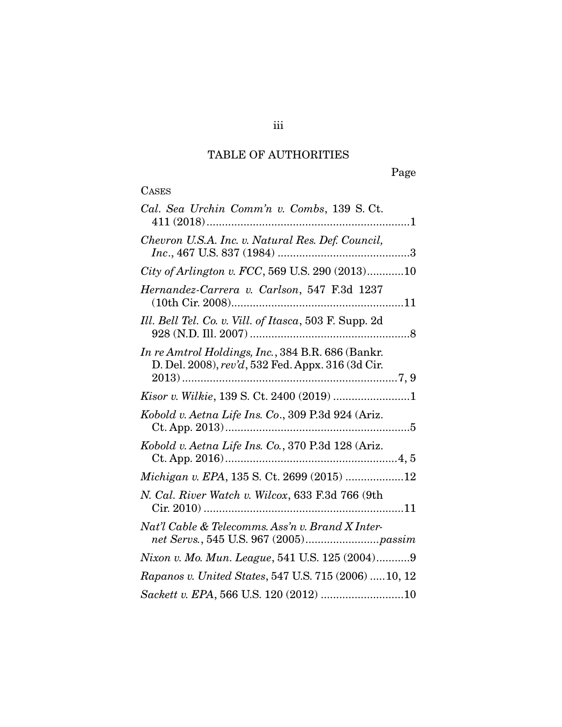## TABLE OF AUTHORITIES

# **CASES**

| Cal. Sea Urchin Comm'n v. Combs, 139 S.Ct.                                                             |
|--------------------------------------------------------------------------------------------------------|
| Chevron U.S.A. Inc. v. Natural Res. Def. Council,                                                      |
| City of Arlington v. FCC, 569 U.S. 290 (2013)10                                                        |
| Hernandez-Carrera v. Carlson, 547 F.3d 1237                                                            |
| Ill. Bell Tel. Co. v. Vill. of Itasca, 503 F. Supp. 2d                                                 |
| In re Amtrol Holdings, Inc., 384 B.R. 686 (Bankr.<br>D. Del. 2008), rev'd, 532 Fed. Appx. 316 (3d Cir. |
|                                                                                                        |
| Kobold v. Aetna Life Ins. Co., 309 P.3d 924 (Ariz.                                                     |
| Kobold v. Aetna Life Ins. Co., 370 P.3d 128 (Ariz.                                                     |
| Michigan v. EPA, 135 S. Ct. 2699 (2015) 12                                                             |
| N. Cal. River Watch v. Wilcox, 633 F.3d 766 (9th                                                       |
| Nat'l Cable & Telecomms. Ass'n v. Brand X Inter-                                                       |
| Nixon v. Mo. Mun. League, 541 U.S. 125 (2004)9                                                         |
| Rapanos v. United States, 547 U.S. 715 (2006)  10, 12                                                  |
|                                                                                                        |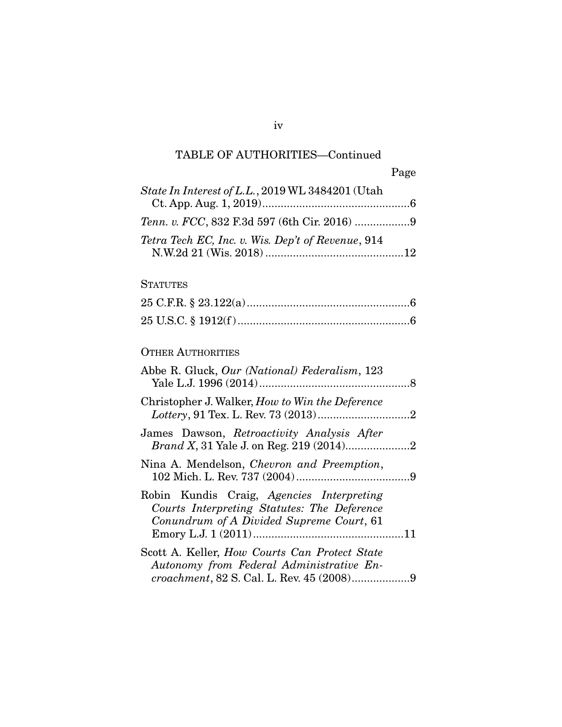### TABLE OF AUTHORITIES—Continued

| State In Interest of L.L., 2019 WL 3484201 (Utah  |  |
|---------------------------------------------------|--|
|                                                   |  |
| Tetra Tech EC, Inc. v. Wis. Dep't of Revenue, 914 |  |

### **STATUTES**

### OTHER AUTHORITIES

| Abbe R. Gluck, Our (National) Federalism, 123                                                                                        |  |
|--------------------------------------------------------------------------------------------------------------------------------------|--|
| Christopher J. Walker, How to Win the Deference                                                                                      |  |
| James Dawson, Retroactivity Analysis After                                                                                           |  |
| Nina A. Mendelson, Chevron and Preemption,                                                                                           |  |
| Robin Kundis Craig, Agencies Interpreting<br>Courts Interpreting Statutes: The Deference<br>Conundrum of A Divided Supreme Court, 61 |  |
| Scott A. Keller, <i>How Courts Can Protect State</i><br>Autonomy from Federal Administrative En-                                     |  |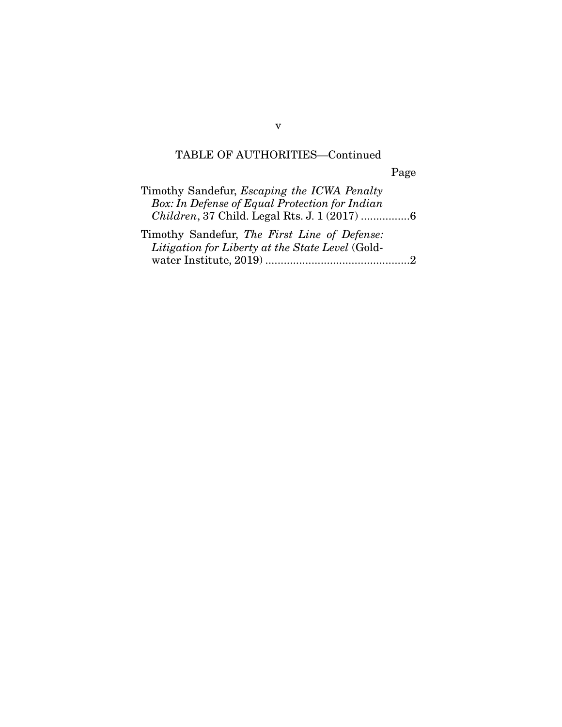## TABLE OF AUTHORITIES—Continued

Page

| Timothy Sandefur, <i>Escaping the ICWA Penalty</i> |
|----------------------------------------------------|
| Box: In Defense of Equal Protection for Indian     |
| Children, 37 Child. Legal Rts. J. 1 (2017) 6       |
| Timothy Sandefur, The First Line of Defense:       |
| Litigation for Liberty at the State Level (Gold-   |
|                                                    |

v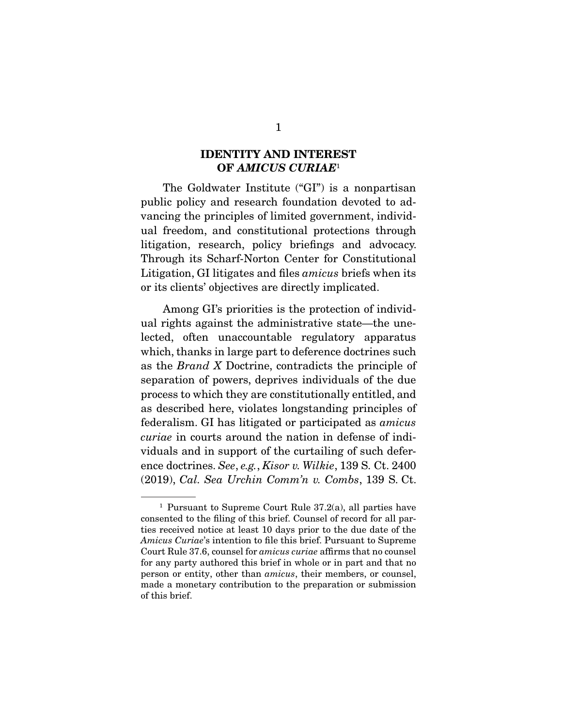### IDENTITY AND INTEREST OF *AMICUS CURIAE*<sup>1</sup>

 The Goldwater Institute ("GI") is a nonpartisan public policy and research foundation devoted to advancing the principles of limited government, individual freedom, and constitutional protections through litigation, research, policy briefings and advocacy. Through its Scharf-Norton Center for Constitutional Litigation, GI litigates and files *amicus* briefs when its or its clients' objectives are directly implicated.

 Among GI's priorities is the protection of individual rights against the administrative state—the unelected, often unaccountable regulatory apparatus which, thanks in large part to deference doctrines such as the *Brand X* Doctrine, contradicts the principle of separation of powers, deprives individuals of the due process to which they are constitutionally entitled, and as described here, violates longstanding principles of federalism. GI has litigated or participated as *amicus curiae* in courts around the nation in defense of individuals and in support of the curtailing of such deference doctrines. *See*, *e.g.*, *Kisor v. Wilkie*, 139 S. Ct. 2400 (2019), *Cal. Sea Urchin Comm'n v. Combs*, 139 S. Ct.

<sup>&</sup>lt;sup>1</sup> Pursuant to Supreme Court Rule  $37.2(a)$ , all parties have consented to the filing of this brief. Counsel of record for all parties received notice at least 10 days prior to the due date of the *Amicus Curiae*'s intention to file this brief. Pursuant to Supreme Court Rule 37.6, counsel for *amicus curiae* affirms that no counsel for any party authored this brief in whole or in part and that no person or entity, other than *amicus*, their members, or counsel, made a monetary contribution to the preparation or submission of this brief.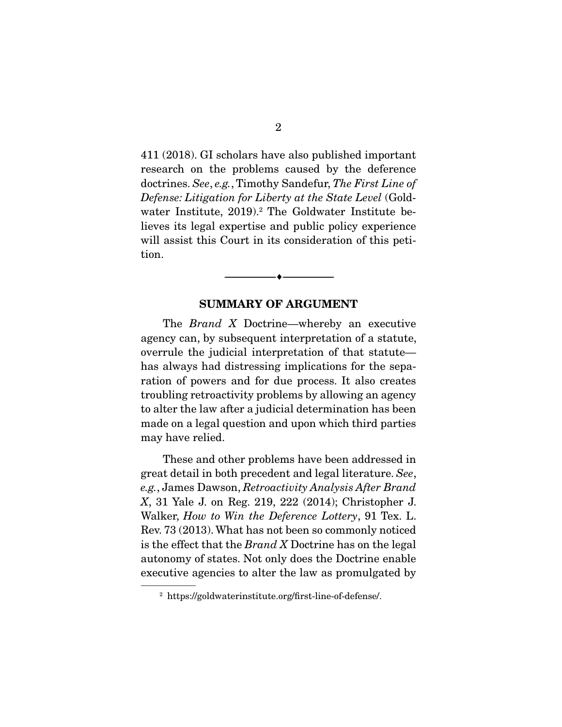411 (2018). GI scholars have also published important research on the problems caused by the deference doctrines. *See*, *e.g.*, Timothy Sandefur, *The First Line of Defense: Litigation for Liberty at the State Level* (Goldwater Institute, 2019).<sup>2</sup> The Goldwater Institute believes its legal expertise and public policy experience will assist this Court in its consideration of this petition.

#### SUMMARY OF ARGUMENT

--------------------------------- ---------------------------------

 The *Brand X* Doctrine—whereby an executive agency can, by subsequent interpretation of a statute, overrule the judicial interpretation of that statute has always had distressing implications for the separation of powers and for due process. It also creates troubling retroactivity problems by allowing an agency to alter the law after a judicial determination has been made on a legal question and upon which third parties may have relied.

 These and other problems have been addressed in great detail in both precedent and legal literature. *See*, *e.g.*, James Dawson, *Retroactivity Analysis After Brand X*, 31 Yale J. on Reg. 219, 222 (2014); Christopher J. Walker, *How to Win the Deference Lottery*, 91 Tex. L. Rev. 73 (2013). What has not been so commonly noticed is the effect that the *Brand X* Doctrine has on the legal autonomy of states. Not only does the Doctrine enable executive agencies to alter the law as promulgated by

<sup>2</sup> https://goldwaterinstitute.org/first-line-of-defense/.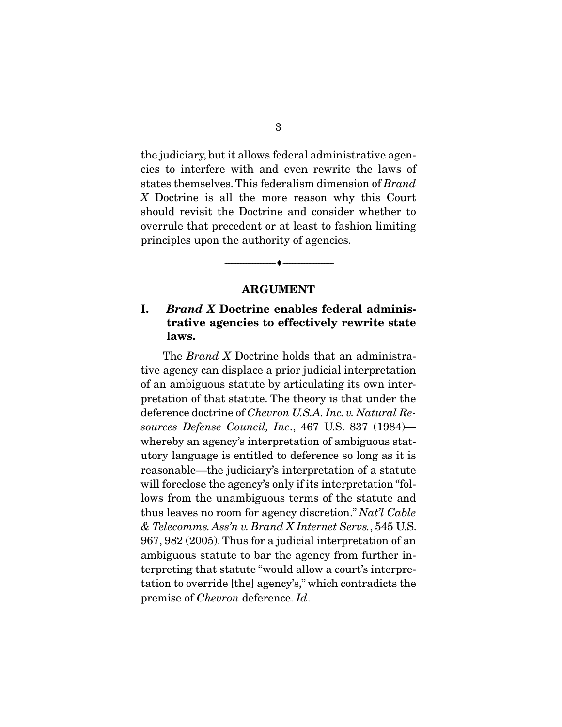the judiciary, but it allows federal administrative agencies to interfere with and even rewrite the laws of states themselves. This federalism dimension of *Brand X* Doctrine is all the more reason why this Court should revisit the Doctrine and consider whether to overrule that precedent or at least to fashion limiting principles upon the authority of agencies.

#### ARGUMENT

--------------------------------- ---------------------------------

### I. *Brand X* Doctrine enables federal administrative agencies to effectively rewrite state laws.

 The *Brand X* Doctrine holds that an administrative agency can displace a prior judicial interpretation of an ambiguous statute by articulating its own interpretation of that statute. The theory is that under the deference doctrine of *Chevron U.S.A. Inc. v. Natural Resources Defense Council, Inc*., 467 U.S. 837 (1984) whereby an agency's interpretation of ambiguous statutory language is entitled to deference so long as it is reasonable—the judiciary's interpretation of a statute will foreclose the agency's only if its interpretation "follows from the unambiguous terms of the statute and thus leaves no room for agency discretion." *Nat'l Cable & Telecomms. Ass'n v. Brand X Internet Servs.*, 545 U.S. 967, 982 (2005). Thus for a judicial interpretation of an ambiguous statute to bar the agency from further interpreting that statute "would allow a court's interpretation to override [the] agency's," which contradicts the premise of *Chevron* deference. *Id*.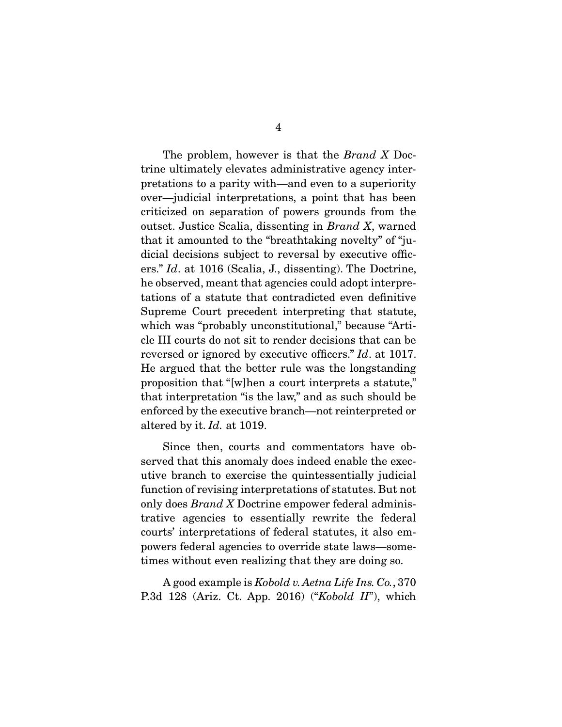The problem, however is that the *Brand X* Doctrine ultimately elevates administrative agency interpretations to a parity with—and even to a superiority over—judicial interpretations, a point that has been criticized on separation of powers grounds from the outset. Justice Scalia, dissenting in *Brand X*, warned that it amounted to the "breathtaking novelty" of "judicial decisions subject to reversal by executive officers." *Id*. at 1016 (Scalia, J., dissenting). The Doctrine, he observed, meant that agencies could adopt interpretations of a statute that contradicted even definitive Supreme Court precedent interpreting that statute, which was "probably unconstitutional," because "Article III courts do not sit to render decisions that can be reversed or ignored by executive officers." *Id*. at 1017. He argued that the better rule was the longstanding proposition that "[w]hen a court interprets a statute," that interpretation "is the law," and as such should be enforced by the executive branch—not reinterpreted or altered by it. *Id.* at 1019.

 Since then, courts and commentators have observed that this anomaly does indeed enable the executive branch to exercise the quintessentially judicial function of revising interpretations of statutes. But not only does *Brand X* Doctrine empower federal administrative agencies to essentially rewrite the federal courts' interpretations of federal statutes, it also empowers federal agencies to override state laws—sometimes without even realizing that they are doing so.

 A good example is *Kobold v. Aetna Life Ins. Co.*, 370 P.3d 128 (Ariz. Ct. App. 2016) ("*Kobold II*"), which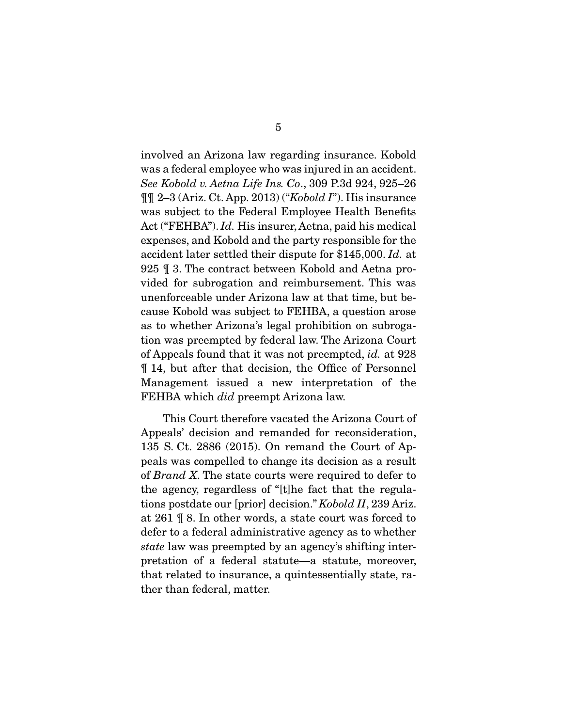involved an Arizona law regarding insurance. Kobold was a federal employee who was injured in an accident. *See Kobold v. Aetna Life Ins. Co*., 309 P.3d 924, 925–26 ¶¶ 2–3 (Ariz. Ct. App. 2013) ("*Kobold I*"). His insurance was subject to the Federal Employee Health Benefits Act ("FEHBA"). *Id.* His insurer, Aetna, paid his medical expenses, and Kobold and the party responsible for the accident later settled their dispute for \$145,000. *Id.* at 925 ¶ 3. The contract between Kobold and Aetna provided for subrogation and reimbursement. This was unenforceable under Arizona law at that time, but because Kobold was subject to FEHBA, a question arose as to whether Arizona's legal prohibition on subrogation was preempted by federal law. The Arizona Court of Appeals found that it was not preempted, *id.* at 928 ¶ 14, but after that decision, the Office of Personnel Management issued a new interpretation of the FEHBA which *did* preempt Arizona law.

 This Court therefore vacated the Arizona Court of Appeals' decision and remanded for reconsideration, 135 S. Ct. 2886 (2015). On remand the Court of Appeals was compelled to change its decision as a result of *Brand X*. The state courts were required to defer to the agency, regardless of "[t]he fact that the regulations postdate our [prior] decision." *Kobold II*, 239 Ariz. at 261 ¶ 8. In other words, a state court was forced to defer to a federal administrative agency as to whether *state* law was preempted by an agency's shifting interpretation of a federal statute—a statute, moreover, that related to insurance, a quintessentially state, rather than federal, matter.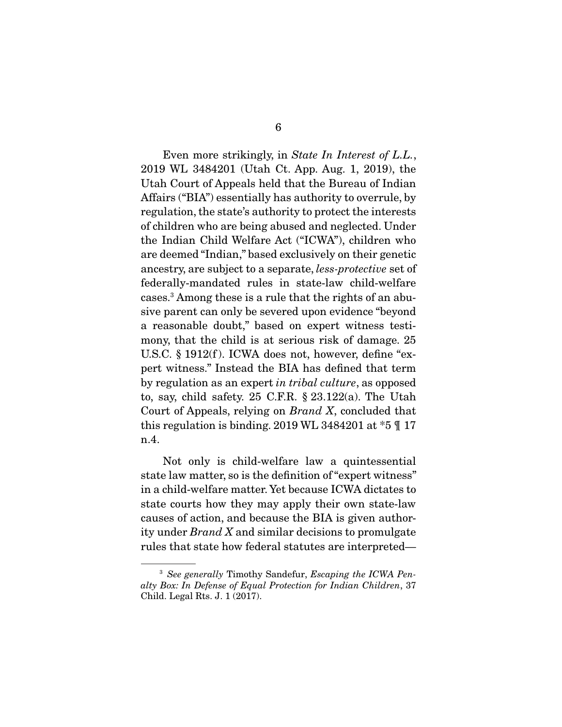Even more strikingly, in *State In Interest of L.L.*, 2019 WL 3484201 (Utah Ct. App. Aug. 1, 2019), the Utah Court of Appeals held that the Bureau of Indian Affairs ("BIA") essentially has authority to overrule, by regulation, the state's authority to protect the interests of children who are being abused and neglected. Under the Indian Child Welfare Act ("ICWA"), children who are deemed "Indian," based exclusively on their genetic ancestry, are subject to a separate, *less-protective* set of federally-mandated rules in state-law child-welfare cases.3 Among these is a rule that the rights of an abusive parent can only be severed upon evidence "beyond a reasonable doubt," based on expert witness testimony, that the child is at serious risk of damage. 25 U.S.C. § 1912(f). ICWA does not, however, define "expert witness." Instead the BIA has defined that term by regulation as an expert *in tribal culture*, as opposed to, say, child safety. 25 C.F.R. § 23.122(a). The Utah Court of Appeals, relying on *Brand X*, concluded that this regulation is binding. 2019 WL 3484201 at  $*5$  \[ 17] n.4.

 Not only is child-welfare law a quintessential state law matter, so is the definition of "expert witness" in a child-welfare matter. Yet because ICWA dictates to state courts how they may apply their own state-law causes of action, and because the BIA is given authority under *Brand X* and similar decisions to promulgate rules that state how federal statutes are interpreted—

<sup>3</sup> *See generally* Timothy Sandefur, *Escaping the ICWA Penalty Box: In Defense of Equal Protection for Indian Children*, 37 Child. Legal Rts. J. 1 (2017).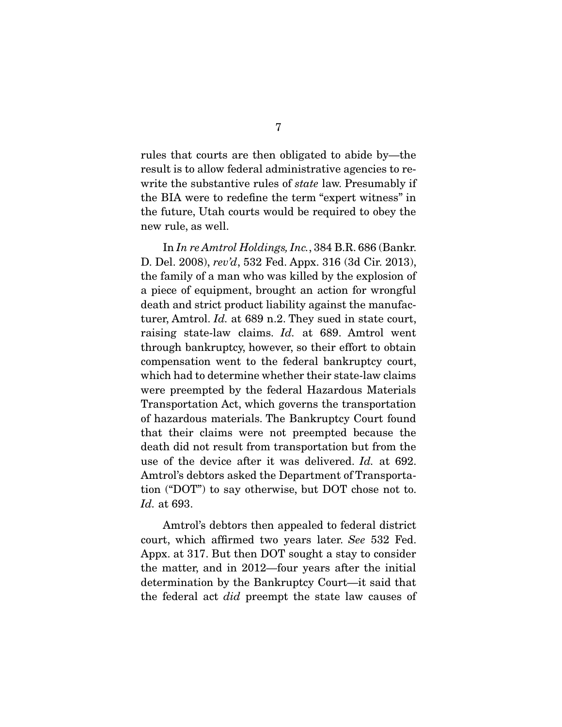rules that courts are then obligated to abide by—the result is to allow federal administrative agencies to rewrite the substantive rules of *state* law. Presumably if the BIA were to redefine the term "expert witness" in the future, Utah courts would be required to obey the new rule, as well.

 In *In re Amtrol Holdings, Inc.*, 384 B.R. 686 (Bankr. D. Del. 2008), *rev'd*, 532 Fed. Appx. 316 (3d Cir. 2013), the family of a man who was killed by the explosion of a piece of equipment, brought an action for wrongful death and strict product liability against the manufacturer, Amtrol. *Id.* at 689 n.2. They sued in state court, raising state-law claims. *Id.* at 689. Amtrol went through bankruptcy, however, so their effort to obtain compensation went to the federal bankruptcy court, which had to determine whether their state-law claims were preempted by the federal Hazardous Materials Transportation Act, which governs the transportation of hazardous materials. The Bankruptcy Court found that their claims were not preempted because the death did not result from transportation but from the use of the device after it was delivered. *Id.* at 692. Amtrol's debtors asked the Department of Transportation ("DOT") to say otherwise, but DOT chose not to. *Id.* at 693.

 Amtrol's debtors then appealed to federal district court, which affirmed two years later. *See* 532 Fed. Appx. at 317. But then DOT sought a stay to consider the matter, and in 2012—four years after the initial determination by the Bankruptcy Court—it said that the federal act *did* preempt the state law causes of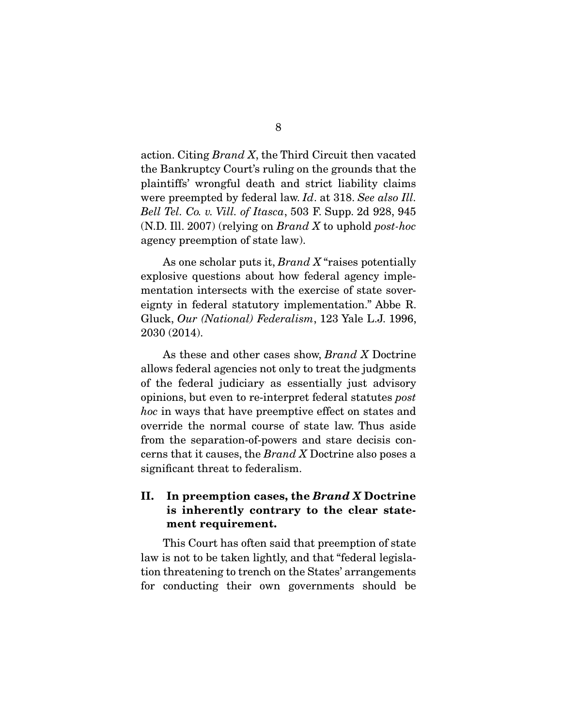action. Citing *Brand X*, the Third Circuit then vacated the Bankruptcy Court's ruling on the grounds that the plaintiffs' wrongful death and strict liability claims were preempted by federal law. *Id*. at 318. *See also Ill. Bell Tel. Co. v. Vill. of Itasca*, 503 F. Supp. 2d 928, 945 (N.D. Ill. 2007) (relying on *Brand X* to uphold *post-hoc*  agency preemption of state law).

 As one scholar puts it, *Brand X* "raises potentially explosive questions about how federal agency implementation intersects with the exercise of state sovereignty in federal statutory implementation." Abbe R. Gluck, *Our (National) Federalism*, 123 Yale L.J. 1996, 2030 (2014).

 As these and other cases show, *Brand X* Doctrine allows federal agencies not only to treat the judgments of the federal judiciary as essentially just advisory opinions, but even to re-interpret federal statutes *post hoc* in ways that have preemptive effect on states and override the normal course of state law. Thus aside from the separation-of-powers and stare decisis concerns that it causes, the *Brand X* Doctrine also poses a significant threat to federalism.

### II. In preemption cases, the *Brand X* Doctrine is inherently contrary to the clear statement requirement.

 This Court has often said that preemption of state law is not to be taken lightly, and that "federal legislation threatening to trench on the States' arrangements for conducting their own governments should be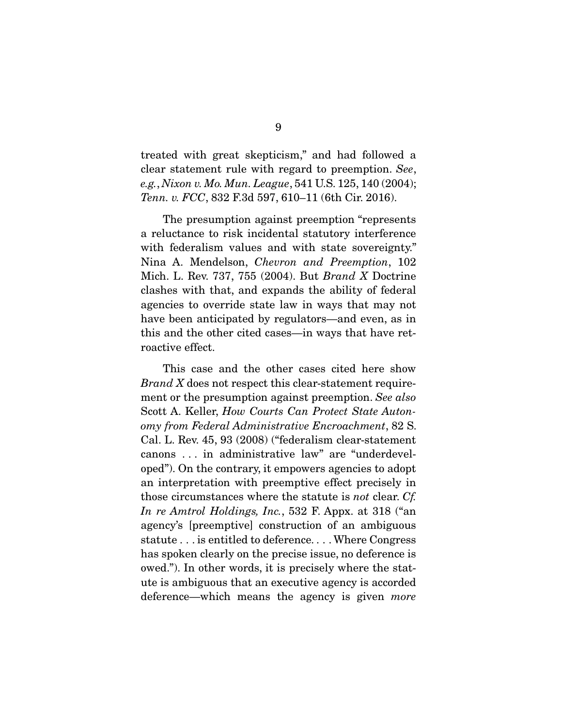treated with great skepticism," and had followed a clear statement rule with regard to preemption. *See*, *e.g.*, *Nixon v. Mo. Mun. League*, 541 U.S. 125, 140 (2004); *Tenn. v. FCC*, 832 F.3d 597, 610–11 (6th Cir. 2016).

 The presumption against preemption "represents a reluctance to risk incidental statutory interference with federalism values and with state sovereignty." Nina A. Mendelson, *Chevron and Preemption*, 102 Mich. L. Rev. 737, 755 (2004). But *Brand X* Doctrine clashes with that, and expands the ability of federal agencies to override state law in ways that may not have been anticipated by regulators—and even, as in this and the other cited cases—in ways that have retroactive effect.

 This case and the other cases cited here show *Brand X* does not respect this clear-statement requirement or the presumption against preemption. *See also* Scott A. Keller, *How Courts Can Protect State Autonomy from Federal Administrative Encroachment*, 82 S. Cal. L. Rev. 45, 93 (2008) ("federalism clear-statement canons . . . in administrative law" are "underdeveloped"). On the contrary, it empowers agencies to adopt an interpretation with preemptive effect precisely in those circumstances where the statute is *not* clear. *Cf. In re Amtrol Holdings, Inc.*, 532 F. Appx. at 318 ("an agency's [preemptive] construction of an ambiguous statute . . . is entitled to deference. . . . Where Congress has spoken clearly on the precise issue, no deference is owed."). In other words, it is precisely where the statute is ambiguous that an executive agency is accorded deference—which means the agency is given *more*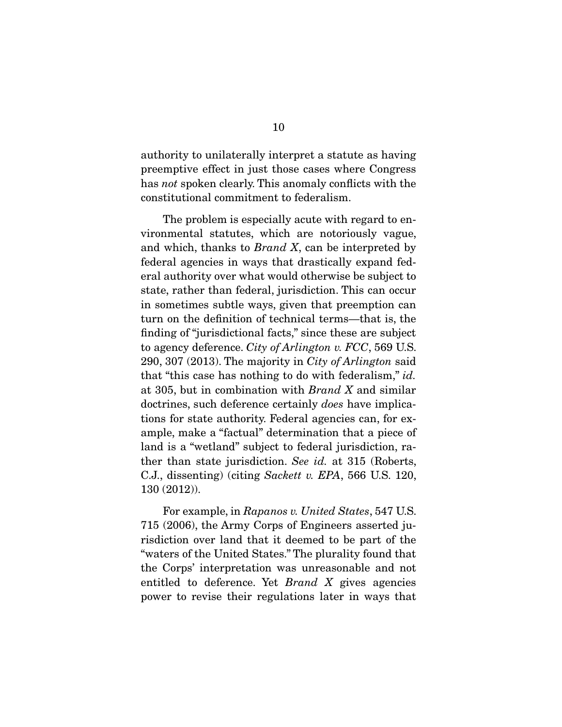authority to unilaterally interpret a statute as having preemptive effect in just those cases where Congress has *not* spoken clearly. This anomaly conflicts with the constitutional commitment to federalism.

 The problem is especially acute with regard to environmental statutes, which are notoriously vague, and which, thanks to *Brand X*, can be interpreted by federal agencies in ways that drastically expand federal authority over what would otherwise be subject to state, rather than federal, jurisdiction. This can occur in sometimes subtle ways, given that preemption can turn on the definition of technical terms—that is, the finding of "jurisdictional facts," since these are subject to agency deference. *City of Arlington v. FCC*, 569 U.S. 290, 307 (2013). The majority in *City of Arlington* said that "this case has nothing to do with federalism," *id.* at 305, but in combination with *Brand X* and similar doctrines, such deference certainly *does* have implications for state authority. Federal agencies can, for example, make a "factual" determination that a piece of land is a "wetland" subject to federal jurisdiction, rather than state jurisdiction. *See id.* at 315 (Roberts, C.J., dissenting) (citing *Sackett v. EPA*, 566 U.S. 120, 130 (2012)).

 For example, in *Rapanos v. United States*, 547 U.S. 715 (2006), the Army Corps of Engineers asserted jurisdiction over land that it deemed to be part of the "waters of the United States." The plurality found that the Corps' interpretation was unreasonable and not entitled to deference. Yet *Brand X* gives agencies power to revise their regulations later in ways that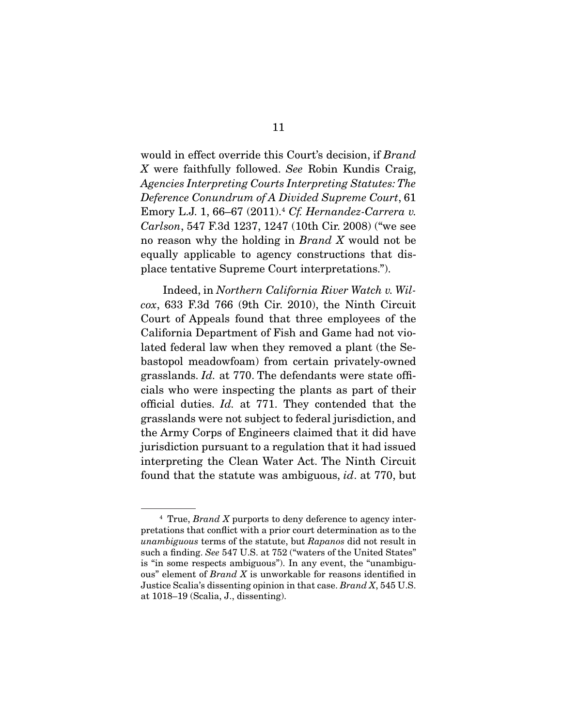would in effect override this Court's decision, if *Brand X* were faithfully followed. *See* Robin Kundis Craig, *Agencies Interpreting Courts Interpreting Statutes: The Deference Conundrum of A Divided Supreme Court*, 61 Emory L.J. 1, 66–67 (2011).4 *Cf. Hernandez-Carrera v. Carlson*, 547 F.3d 1237, 1247 (10th Cir. 2008) ("we see no reason why the holding in *Brand X* would not be equally applicable to agency constructions that displace tentative Supreme Court interpretations.").

 Indeed, in *Northern California River Watch v. Wilcox*, 633 F.3d 766 (9th Cir. 2010), the Ninth Circuit Court of Appeals found that three employees of the California Department of Fish and Game had not violated federal law when they removed a plant (the Sebastopol meadowfoam) from certain privately-owned grasslands. *Id.* at 770. The defendants were state officials who were inspecting the plants as part of their official duties. *Id.* at 771. They contended that the grasslands were not subject to federal jurisdiction, and the Army Corps of Engineers claimed that it did have jurisdiction pursuant to a regulation that it had issued interpreting the Clean Water Act. The Ninth Circuit found that the statute was ambiguous, *id*. at 770, but

<sup>4</sup> True, *Brand X* purports to deny deference to agency interpretations that conflict with a prior court determination as to the *unambiguous* terms of the statute, but *Rapanos* did not result in such a finding. *See* 547 U.S. at 752 ("waters of the United States" is "in some respects ambiguous"). In any event, the "unambiguous" element of *Brand X* is unworkable for reasons identified in Justice Scalia's dissenting opinion in that case. *Brand X*, 545 U.S. at 1018–19 (Scalia, J., dissenting).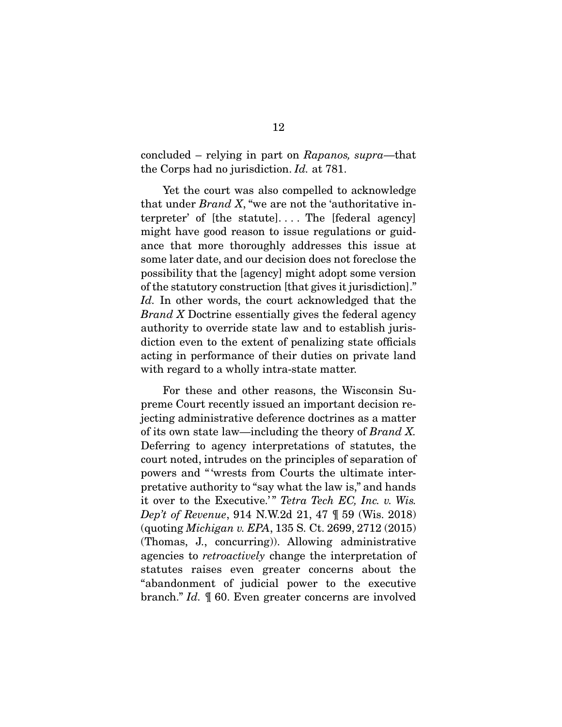concluded – relying in part on *Rapanos, supra*—that the Corps had no jurisdiction. *Id.* at 781.

 Yet the court was also compelled to acknowledge that under *Brand X*, "we are not the 'authoritative interpreter' of  $[the$  statute]... The  $[federal$  agency] might have good reason to issue regulations or guidance that more thoroughly addresses this issue at some later date, and our decision does not foreclose the possibility that the [agency] might adopt some version of the statutory construction [that gives it jurisdiction]." *Id.* In other words, the court acknowledged that the *Brand X* Doctrine essentially gives the federal agency authority to override state law and to establish jurisdiction even to the extent of penalizing state officials acting in performance of their duties on private land with regard to a wholly intra-state matter.

 For these and other reasons, the Wisconsin Supreme Court recently issued an important decision rejecting administrative deference doctrines as a matter of its own state law—including the theory of *Brand X.* Deferring to agency interpretations of statutes, the court noted, intrudes on the principles of separation of powers and " 'wrests from Courts the ultimate interpretative authority to "say what the law is," and hands it over to the Executive.'" *Tetra Tech EC, Inc. v. Wis. Dep't of Revenue*, 914 N.W.2d 21, 47 ¶ 59 (Wis. 2018) (quoting *Michigan v. EPA*, 135 S. Ct. 2699, 2712 (2015) (Thomas, J., concurring)). Allowing administrative agencies to *retroactively* change the interpretation of statutes raises even greater concerns about the "abandonment of judicial power to the executive branch." *Id.* ¶ 60. Even greater concerns are involved